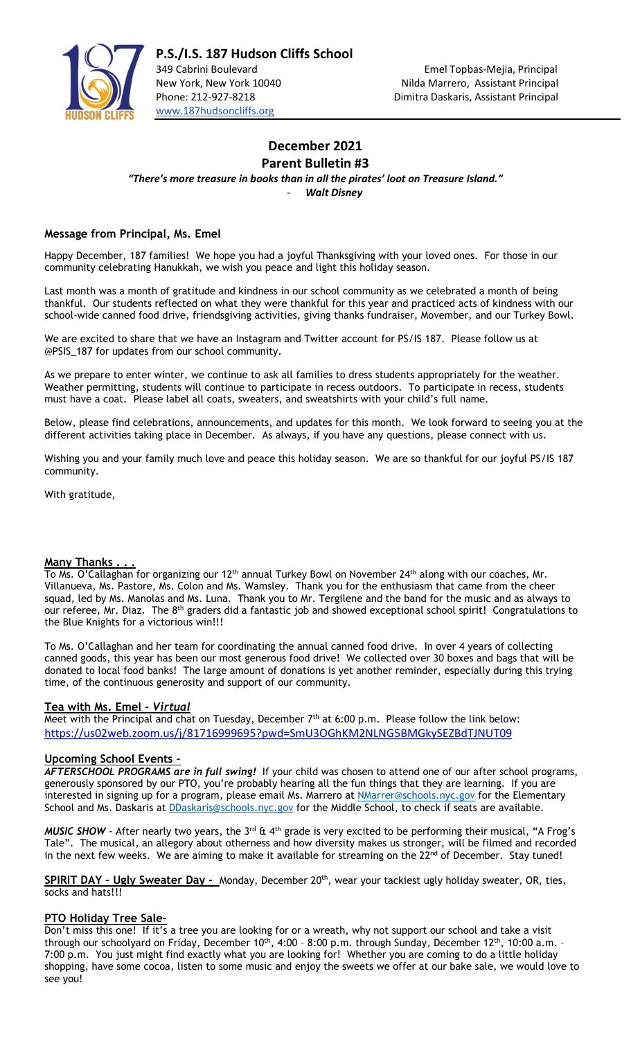

# December 2021

Parent Bulletin #3 "There's more treasure in books than in all the pirates' loot on Treasure Island." **Walt Disney** 

# Message from Principal, Ms. Emel

Happy December, 187 families! We hope you had a joyful Thanksgiving with your loved ones. For those in our community celebrating Hanukkah, we wish you peace and light this holiday season.

Last month was a month of gratitude and kindness in our school community as we celebrated a month of being thankful. Our students reflected on what they were thankful for this year and practiced acts of kindness with our school-wide canned food drive, friendsgiving activities, giving thanks fundraiser, Movember, and our Turkey Bowl.

We are excited to share that we have an Instagram and Twitter account for PS/IS 187. Please follow us at @PSIS\_187 for updates from our school community.

As we prepare to enter winter, we continue to ask all families to dress students appropriately for the weather. Weather permitting, students will continue to participate in recess outdoors. To participate in recess, students must have a coat. Please label all coats, sweaters, and sweatshirts with your child's full name.

Below, please find celebrations, announcements, and updates for this month. We look forward to seeing you at the different activities taking place in December. As always, if you have any questions, please connect with us.

Wishing you and your family much love and peace this holiday season. We are so thankful for our joyful PS/IS 187 community.

With gratitude,

### Many Thanks . . .

To Ms. O'Callaghan for organizing our 12<sup>th</sup> annual Turkey Bowl on November 24<sup>th</sup> along with our coaches, Mr. Villanueva, Ms. Pastore, Ms. Colon and Ms. Wamsley. Thank you for the enthusiasm that came from the cheer squad, led by Ms. Manolas and Ms. Luna. Thank you to Mr. Tergilene and the band for the music and as always to our referee, Mr. Diaz. The 8<sup>th</sup> graders did a fantastic job and showed exceptional school spirit! Congratulations to the Blue Knights for a victorious win!!!

To Ms. O'Callaghan and her team for coordinating the annual canned food drive. In over 4 years of collecting canned goods, this year has been our most generous food drive! We collected over 30 boxes and bags that will be donated to local food banks! The large amount of donations is yet another reminder, especially during this trying time, of the continuous generosity and support of our community.

### Tea with Ms. Emel - Virtual

Meet with the Principal and chat on Tuesday, December  $7<sup>th</sup>$  at 6:00 p.m. Please follow the link below: https://us02web.zoom.us/j/81716999695?pwd=SmU3OGhKM2NLNG5BMGkySEZBdTJNUT09

### Upcoming School Events -

AFTERSCHOOL PROGRAMS are in full swing! If your child was chosen to attend one of our after school programs, generously sponsored by our PTO, you're probably hearing all the fun things that they are learning. If you are interested in signing up for a program, please email Ms. Marrero at **NMarrer@schools.nyc.gov** for the Elementary School and Ms. Daskaris at DDaskaris@schools.nyc.gov for the Middle School, to check if seats are available.

MUSIC SHOW - After nearly two years, the 3<sup>rd</sup> & 4<sup>th</sup> grade is very excited to be performing their musical, "A Frog's Tale". The musical, an allegory about otherness and how diversity makes us stronger, will be filmed and recorded in the next few weeks. We are aiming to make it available for streaming on the  $22^{nd}$  of December. Stay tuned!

SPIRIT DAY - Ugly Sweater Day - Monday, December 20<sup>th</sup>, wear your tackiest ugly holiday sweater, OR, ties, socks and hats!!!

### PTO Holiday Tree Sale–

Don't miss this one! If it's a tree you are looking for or a wreath, why not support our school and take a visit through our schoolyard on Friday, December 10<sup>th</sup>, 4:00 - 8:00 p.m. through Sunday, December 12<sup>th</sup>, 10:00 a.m. 7:00 p.m. You just might find exactly what you are looking for! Whether you are coming to do a little holiday shopping, have some cocoa, listen to some music and enjoy the sweets we offer at our bake sale, we would love to see you!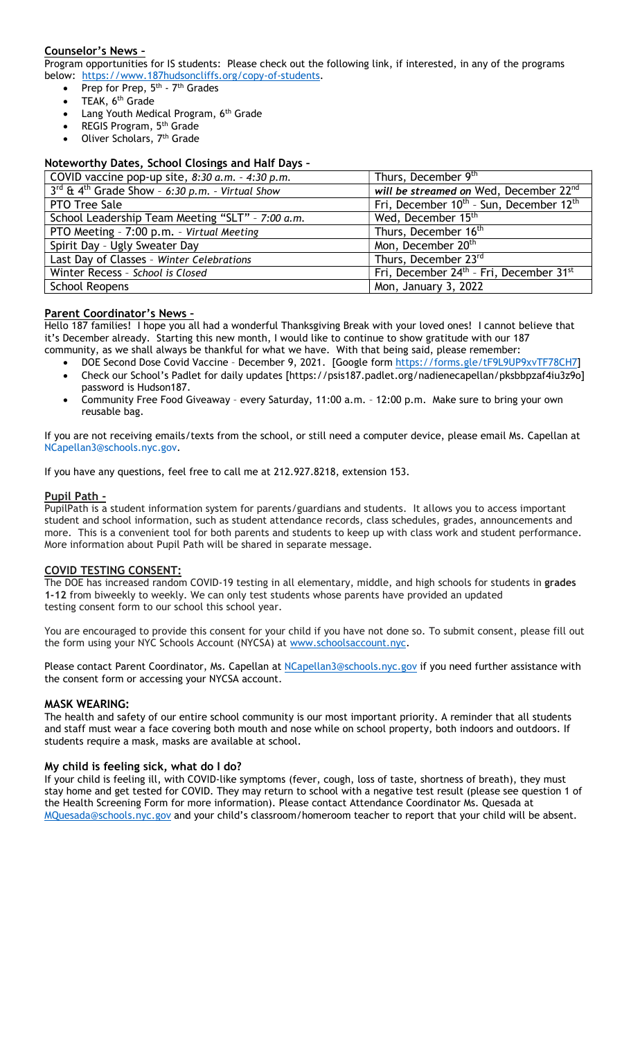# Counselor's News –

Program opportunities for IS students: Please check out the following link, if interested, in any of the programs below: https://www.187hudsoncliffs.org/copy-of-students.

- Prep for Prep,  $5^{\text{th}}$   $7^{\text{th}}$  Grades
- TEAK, 6<sup>th</sup> Grade
- Lang Youth Medical Program, 6<sup>th</sup> Grade
- REGIS Program, 5th Grade
- Oliver Scholars, 7th Grade

### Noteworthy Dates, School Closings and Half Days –

| COVID vaccine pop-up site, $8:30$ a.m. - $4:30$ p.m.             | Thurs, December 9th                                |
|------------------------------------------------------------------|----------------------------------------------------|
| $3^{rd}$ & 4 <sup>th</sup> Grade Show - 6:30 p.m. - Virtual Show | will be streamed on Wed, December 22 <sup>nd</sup> |
| PTO Tree Sale                                                    | Fri, December $10^{th}$ - Sun, December $12^{th}$  |
| School Leadership Team Meeting "SLT" - 7:00 a.m.                 | Wed, December 15 <sup>th</sup>                     |
| PTO Meeting - 7:00 p.m. - Virtual Meeting                        | Thurs, December 16 <sup>th</sup>                   |
| Spirit Day - Ugly Sweater Day                                    | Mon, December 20 <sup>th</sup>                     |
| Last Day of Classes - Winter Celebrations                        | Thurs, December 23rd                               |
| Winter Recess - School is Closed                                 | Fri, December 24th - Fri, December 31st            |
| <b>School Reopens</b>                                            | Mon, January 3, 2022                               |

### Parent Coordinator's News –

Hello 187 families! I hope you all had a wonderful Thanksgiving Break with your loved ones! I cannot believe that it's December already. Starting this new month, I would like to continue to show gratitude with our 187 community, as we shall always be thankful for what we have. With that being said, please remember:

- DOE Second Dose Covid Vaccine December 9, 2021. [Google form https://forms.gle/tF9L9UP9xvTF78CH7]
- Check our School's Padlet for daily updates [https://psis187.padlet.org/nadienecapellan/pksbbpzaf4iu3z9o] password is Hudson187.
- Community Free Food Giveaway every Saturday, 11:00 a.m. 12:00 p.m. Make sure to bring your own reusable bag.

If you are not receiving emails/texts from the school, or still need a computer device, please email Ms. Capellan at NCapellan3@schools.nyc.gov.

If you have any questions, feel free to call me at 212.927.8218, extension 153.

### Pupil Path -

PupilPath is a student information system for parents/guardians and students. It allows you to access important student and school information, such as student attendance records, class schedules, grades, announcements and more. This is a convenient tool for both parents and students to keep up with class work and student performance. More information about Pupil Path will be shared in separate message.

### COVID TESTING CONSENT:

The DOE has increased random COVID-19 testing in all elementary, middle, and high schools for students in grades 1-12 from biweekly to weekly. We can only test students whose parents have provided an updated testing consent form to our school this school year.

You are encouraged to provide this consent for your child if you have not done so. To submit consent, please fill out the form using your NYC Schools Account (NYCSA) at www.schoolsaccount.nyc.

Please contact Parent Coordinator, Ms. Capellan at NCapellan3@schools.nyc.gov if you need further assistance with the consent form or accessing your NYCSA account.

### MASK WEARING:

The health and safety of our entire school community is our most important priority. A reminder that all students and staff must wear a face covering both mouth and nose while on school property, both indoors and outdoors. If students require a mask, masks are available at school.

### My child is feeling sick, what do I do?

If your child is feeling ill, with COVID-like symptoms (fever, cough, loss of taste, shortness of breath), they must stay home and get tested for COVID. They may return to school with a negative test result (please see question 1 of the Health Screening Form for more information). Please contact Attendance Coordinator Ms. Quesada at MQuesada@schools.nyc.gov and your child's classroom/homeroom teacher to report that your child will be absent.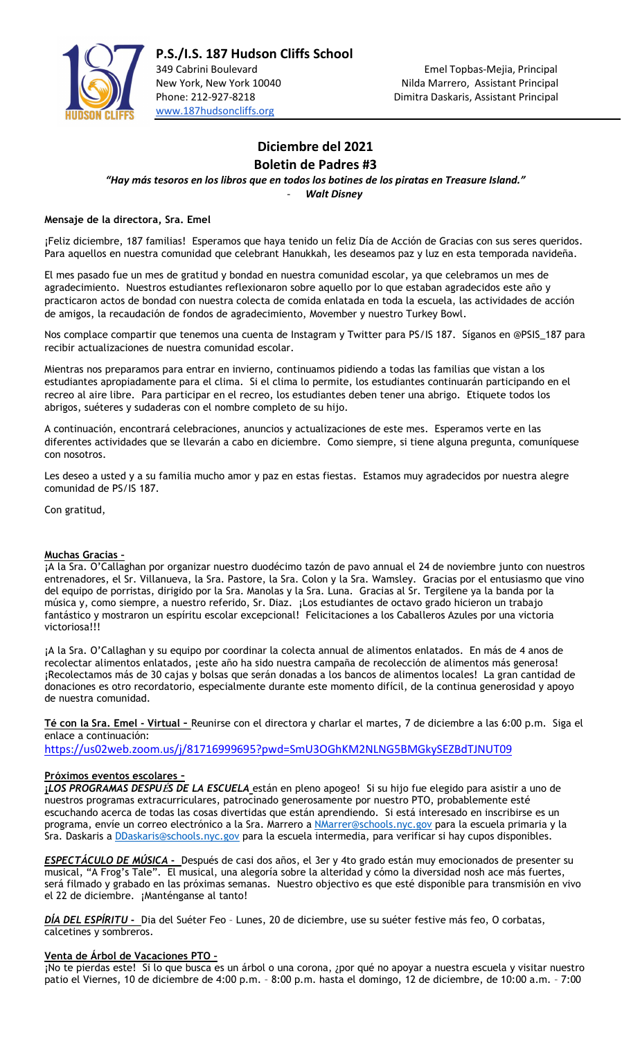

www.187hudsoncliffs.org

# Diciembre del 2021 Boletin de Padres #3

"Hay más tesoros en los libros que en todos los botines de los piratas en Treasure Island." **Walt Disney** 

### Mensaje de la directora, Sra. Emel

¡Feliz diciembre, 187 familias! Esperamos que haya tenido un feliz Día de Acción de Gracias con sus seres queridos. Para aquellos en nuestra comunidad que celebrant Hanukkah, les deseamos paz y luz en esta temporada navideña.

El mes pasado fue un mes de gratitud y bondad en nuestra comunidad escolar, ya que celebramos un mes de agradecimiento. Nuestros estudiantes reflexionaron sobre aquello por lo que estaban agradecidos este año y practicaron actos de bondad con nuestra colecta de comida enlatada en toda la escuela, las actividades de acción de amigos, la recaudación de fondos de agradecimiento, Movember y nuestro Turkey Bowl.

Nos complace compartir que tenemos una cuenta de Instagram y Twitter para PS/IS 187. Síganos en @PSIS\_187 para recibir actualizaciones de nuestra comunidad escolar.

Mientras nos preparamos para entrar en invierno, continuamos pidiendo a todas las familias que vistan a los estudiantes apropiadamente para el clima. Si el clima lo permite, los estudiantes continuarán participando en el recreo al aire libre. Para participar en el recreo, los estudiantes deben tener una abrigo. Etiquete todos los abrigos, suéteres y sudaderas con el nombre completo de su hijo.

A continuación, encontrará celebraciones, anuncios y actualizaciones de este mes. Esperamos verte en las diferentes actividades que se llevarán a cabo en diciembre. Como siempre, si tiene alguna pregunta, comuníquese con nosotros.

Les deseo a usted y a su familia mucho amor y paz en estas fiestas. Estamos muy agradecidos por nuestra alegre comunidad de PS/IS 187.

Con gratitud,

### Muchas Gracias –

¡A la Sra. O'Callaghan por organizar nuestro duodécimo tazón de pavo annual el 24 de noviembre junto con nuestros entrenadores, el Sr. Villanueva, la Sra. Pastore, la Sra. Colon y la Sra. Wamsley. Gracias por el entusiasmo que vino del equipo de porristas, dirigido por la Sra. Manolas y la Sra. Luna. Gracias al Sr. Tergilene ya la banda por la música y, como siempre, a nuestro referido, Sr. Diaz. ¡Los estudiantes de octavo grado hicieron un trabajo fantástico y mostraron un espíritu escolar excepcional! Felicitaciones a los Caballeros Azules por una victoria victoriosa!!!

¡A la Sra. O'Callaghan y su equipo por coordinar la colecta annual de alimentos enlatados. En más de 4 anos de recolectar alimentos enlatados, ¡este año ha sido nuestra campaña de recolección de alimentos más generosa! ¡Recolectamos más de 30 cajas y bolsas que serán donadas a los bancos de alimentos locales! La gran cantidad de donaciones es otro recordatorio, especialmente durante este momento difícil, de la continua generosidad y apoyo de nuestra comunidad.

Té con la Sra. Emel - Virtual – Reunirse con el directora y charlar el martes, 7 de diciembre a las 6:00 p.m. Siga el enlace a continuación:

https://us02web.zoom.us/j/81716999695?pwd=SmU3OGhKM2NLNG5BMGkySEZBdTJNUT09

### Próximos eventos escolares –

¡LOS PROGRAMAS DESPUÉS DE LA ESCUELA están en pleno apogeo! Si su hijo fue elegido para asistir a uno de nuestros programas extracurriculares, patrocinado generosamente por nuestro PTO, probablemente esté escuchando acerca de todas las cosas divertidas que están aprendiendo. Si está interesado en inscribirse es un programa, envíe un correo electrónico a la Sra. Marrero a *NMarrer@schools.nyc.gov* para la escuela primaria y la Sra. Daskaris a *DDaskaris@schools.nyc.gov* para la escuela intermedia, para verificar si hay cupos disponibles.

ESPECTÁCULO DE MÚSICA - Después de casi dos años, el 3er y 4to grado están muy emocionados de presenter su musical, "A Frog's Tale". El musical, una alegoría sobre la alteridad y cómo la diversidad nosh ace más fuertes, será filmado y grabado en las próximas semanas. Nuestro objectivo es que esté disponible para transmisión en vivo el 22 de diciembre. ¡Manténganse al tanto!

DÍA DEL ESPÍRITU - Dia del Suéter Feo - Lunes, 20 de diciembre, use su suéter festive más feo, O corbatas, calcetines y sombreros.

### Venta de Árbol de Vacaciones PTO –

¡No te pierdas este! Si lo que busca es un árbol o una corona, ¿por qué no apoyar a nuestra escuela y visitar nuestro patio el Viernes, 10 de diciembre de 4:00 p.m. – 8:00 p.m. hasta el domingo, 12 de diciembre, de 10:00 a.m. – 7:00